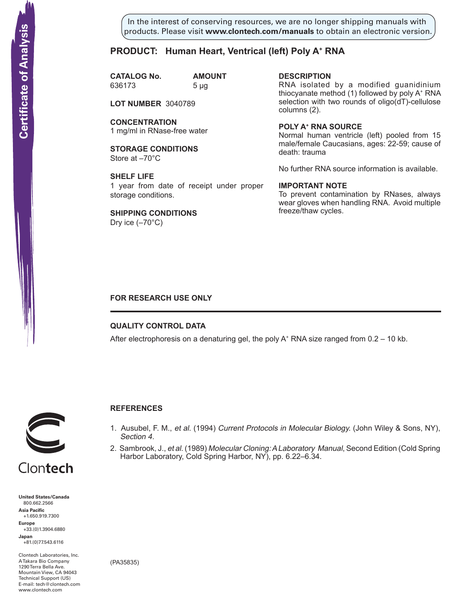In the interest of conserving resources, we are no longer shipping manuals with products. Please visit **www.clontech.com/manuals** to obtain an electronic version.

## **PRODUCT: Human Heart, Ventrical (left) Poly A+ RNA**

**CATALOG No. AMOUNT** 636173 5 µg

**LOT NUMBER** 3040789

**CONCENTRATION** 1 mg/ml in RNase-free water

**STORAGE CONDITIONS** Store at –70°C

**SHELF LIFE** 1 year from date of receipt under proper storage conditions.

**SHIPPING CONDITIONS** Dry ice  $(-70^{\circ}C)$ 

**description**

RNA isolated by a modified guanidinium thiocyanate method (1) followed by poly A+ RNA selection with two rounds of oligo(dT)-cellulose columns (2).

**Poly a+ RNA source** Normal human ventricle (left) pooled from 15 male/female Caucasians, ages: 22-59; cause of death: trauma

No further RNA source information is available.

#### **IMPORTANT NOTE**

To prevent contamination by RNases, always wear gloves when handling RNA. Avoid multiple freeze/thaw cycles.

## **FOR RESEARCH USE ONLY**

## **QUALITY CONTROL DATA**

After electrophoresis on a denaturing gel, the poly  $A^+$  RNA size ranged from 0.2 – 10 kb.



## **References**

- 1. Ausubel, F. M., et al. (1994) Current Protocols in Molecular Biology. (John Wiley & Sons, NY), Section 4.
- 2. Sambrook, J., et al. (1989) Molecular Cloning: A Laboratory Manual, Second Edition (Cold Spring Harbor Laboratory, Cold Spring Harbor, NY), pp. 6.22–6.34.

**United States/Canada** 800.662.2566 **Asia Pacific** +1.650.919.7300 **Europe** +33.(0)1.3904.6880 **Japan** +81.(0)77.543.6116 **Solution Control Control Control Control Control Control Control Control Control Control Control Control Control Control Control Control Control Control Control Control Control Control Control Control Control Control Cont** 

Clontech Laboratories, Inc. A Takara Bio Company 1290 Terra Bella Ave. Mountain View, CA 94043 Technical Support (US) E-mail: tech@clontech.com

(PA35835)